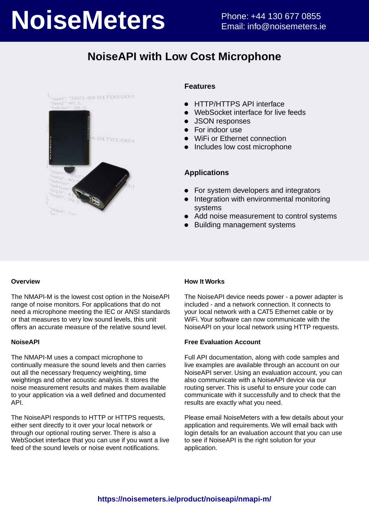# **NoiseMeters** Phone: +44 130 677 0855

## **NoiseAPI with Low Cost Microphone**



#### **Features**

- HTTP/HTTPS API interface  $\bullet$
- WebSocket interface for live feeds
- JSON responses
- For indoor use
- WiFi or Ethernet connection
- Includes low cost microphone

#### **Applications**

- For system developers and integrators
- Integration with environmental monitoring systems
- Add noise measurement to control systems
- Building management systems

#### **Overview**

The NMAPI-M is the lowest cost option in the NoiseAPI range of noise monitors. For applications that do not need a microphone meeting the IEC or ANSI standards or that measures to very low sound levels, this unit offers an accurate measure of the relative sound level.

#### **NoiseAPI**

The NMAPI-M uses a compact microphone to continually measure the sound levels and then carries out all the necessary frequency weighting, time weightings and other acoustic analysis. It stores the noise measurement results and makes them available to your application via a well defined and documented API.

The NoiseAPI responds to HTTP or HTTPS requests, either sent directly to it over your local network or through our optional routing server. There is also a WebSocket interface that you can use if you want a live feed of the sound levels or noise event notifications.

#### **How It Works**

The NoiseAPI device needs power - a power adapter is included - and a network connection. It connects to your local network with a CAT5 Ethernet cable or by WiFi. Your software can now communicate with the NoiseAPI on your local network using HTTP requests.

#### **Free Evaluation Account**

Full API documentation, along with code samples and live examples are available through an account on our NoiseAPI server. Using an evaluation account, you can also communicate with a NoiseAPI device via our routing server. This is useful to ensure your code can communicate with it successfully and to check that the results are exactly what you need.

Please email NoiseMeters with a few details about your application and requirements. We will email back with login details for an evaluation account that you can use to see if NoiseAPI is the right solution for your application.